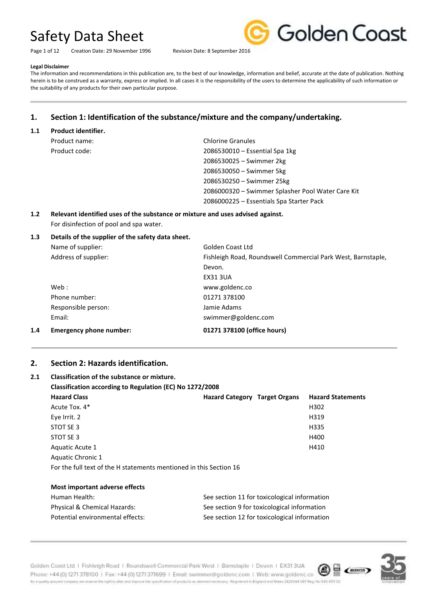Page 1 of 12 Creation Date: 29 November 1996 Revision Date: 8 September 2016



#### **Legal Disclaimer**

The information and recommendations in this publication are, to the best of our knowledge, information and belief, accurate at the date of publication. Nothing herein is to be construed as a warranty, express or implied. In all cases it is the responsibility of the users to determine the applicability of such information or the suitability of any products for their own particular purpose.

### **1. Section 1: Identification of the substance/mixture and the company/undertaking.**

#### **1.1 Product identifier.**

| Product name: |  |
|---------------|--|
| Product code: |  |

**Chlorine Granules** 2086530010 – Essential Spa 1kg – Swimmer 2kg – Swimmer 5kg – Swimmer 25kg – Swimmer Splasher Pool Water Care Kit – Essentials Spa Starter Pack

### **1.2 Relevant identified uses of the substance or mixture and uses advised against.** For disinfection of pool and spa water.

#### **1.3 Details of the supplier of the safety data sheet.**

| 1.4 | <b>Emergency phone number:</b> | 01271 378100 (office hours)                                  |
|-----|--------------------------------|--------------------------------------------------------------|
|     | Email:                         | swimmer@goldenc.com                                          |
|     | Responsible person:            | Jamie Adams                                                  |
|     | Phone number:                  | 01271 378100                                                 |
|     | Web :                          | www.goldenc.co                                               |
|     |                                | <b>EX31 3UA</b>                                              |
|     |                                | Devon.                                                       |
|     | Address of supplier:           | Fishleigh Road, Roundswell Commercial Park West, Barnstaple, |
|     | Name of supplier:              | Golden Coast Ltd                                             |
|     |                                |                                                              |

#### **2. Section 2: Hazards identification.**

## **2.1 Classification of the substance or mixture.**

| Classification according to Regulation (EC) No 1272/2008 |                                      |                          |
|----------------------------------------------------------|--------------------------------------|--------------------------|
| <b>Hazard Class</b>                                      | <b>Hazard Category Target Organs</b> | <b>Hazard Statements</b> |
| Acute Tox. 4*                                            |                                      | H302                     |
| Eye Irrit. 2                                             |                                      | H319                     |
| STOT SE 3                                                |                                      | H335                     |
| STOT SE 3                                                |                                      | H400                     |
| Aquatic Acute 1                                          |                                      | H410                     |
| Aquatic Chronic 1                                        |                                      |                          |
|                                                          |                                      |                          |

For the full text of the H statements mentioned in this Section 16

| Most important adverse effects   |                                              |
|----------------------------------|----------------------------------------------|
| Human Health:                    | See section 11 for toxicological information |
| Physical & Chemical Hazards:     | See section 9 for toxicological information  |
| Potential environmental effects: | See section 12 for toxicological information |



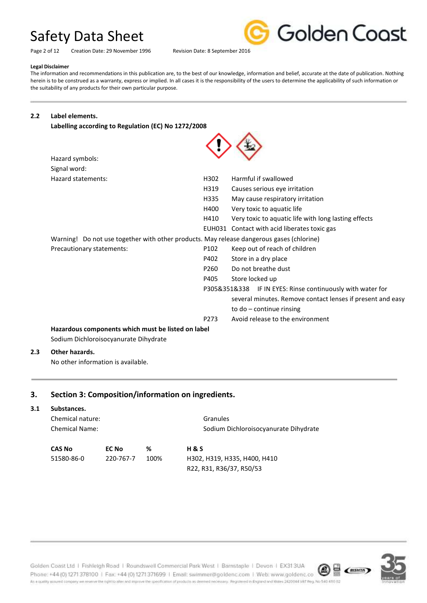Page 2 of 12 Creation Date: 29 November 1996 Revision Date: 8 September 2016



#### **Legal Disclaimer**

The information and recommendations in this publication are, to the best of our knowledge, information and belief, accurate at the date of publication. Nothing herein is to be construed as a warranty, express or implied. In all cases it is the responsibility of the users to determine the applicability of such information or the suitability of any products for their own particular purpose.

ᄉ

#### **2.2 Label elements.**

**Labelling according to Regulation (EC) No 1272/2008**

| Hazard symbols:                                                                          |                  |                                                            |
|------------------------------------------------------------------------------------------|------------------|------------------------------------------------------------|
| Signal word:                                                                             |                  |                                                            |
| Hazard statements:                                                                       | H302             | Harmful if swallowed                                       |
|                                                                                          | H319             | Causes serious eye irritation                              |
|                                                                                          | H335             | May cause respiratory irritation                           |
|                                                                                          | H400             | Very toxic to aquatic life                                 |
|                                                                                          | H410             | Very toxic to aquatic life with long lasting effects       |
|                                                                                          | EUH031           | Contact with acid liberates toxic gas                      |
| Warning! Do not use together with other products. May release dangerous gases (chlorine) |                  |                                                            |
| Precautionary statements:                                                                | P <sub>102</sub> | Keep out of reach of children                              |
|                                                                                          | P402             | Store in a dry place                                       |
|                                                                                          | P <sub>260</sub> | Do not breathe dust                                        |
|                                                                                          | P405             | Store locked up                                            |
|                                                                                          |                  | P305&351&338 IF IN EYES: Rinse continuously with water for |
|                                                                                          |                  | several minutes. Remove contact lenses if present and easy |
|                                                                                          |                  | to $do$ – continue rinsing                                 |
|                                                                                          | P <sub>273</sub> | Avoid release to the environment                           |
| Hazardous components which must be listed on label                                       |                  |                                                            |

Sodium Dichloroisocyanurate Dihydrate

#### **2.3 Other hazards.**

No other information is available.

### **3. Section 3: Composition/information on ingredients.**

#### **3.1 Substances.**

| Chemical nature:<br><b>Chemical Name:</b> |           | Granules<br>Sodium Dichloroisocyanurate Dihydrate |                              |
|-------------------------------------------|-----------|---------------------------------------------------|------------------------------|
| <b>CAS No</b>                             | EC No     | %                                                 | <b>H&amp;S</b>               |
| 51580-86-0                                | 220-767-7 | 100%                                              | H302, H319, H335, H400, H410 |
|                                           |           |                                                   | R22, R31, R36/37, R50/53     |

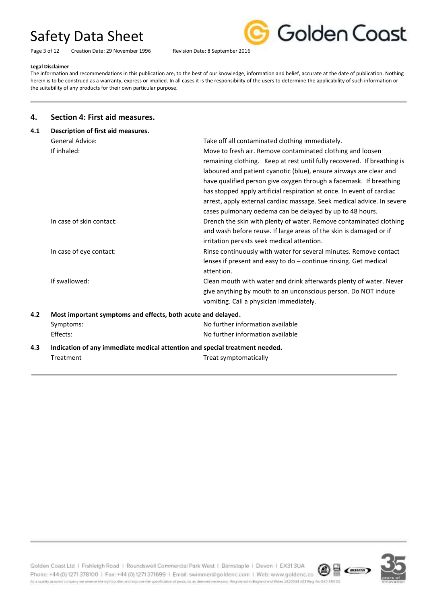Page 3 of 12 Creation Date: 29 November 1996 Revision Date: 8 September 2016



#### **Legal Disclaimer**

The information and recommendations in this publication are, to the best of our knowledge, information and belief, accurate at the date of publication. Nothing herein is to be construed as a warranty, express or implied. In all cases it is the responsibility of the users to determine the applicability of such information or the suitability of any products for their own particular purpose.

#### **4. Section 4: First aid measures.**

| 4.1<br>Description of first aid measures. |                                                                             |                                                                         |  |
|-------------------------------------------|-----------------------------------------------------------------------------|-------------------------------------------------------------------------|--|
|                                           | <b>General Advice:</b>                                                      | Take off all contaminated clothing immediately.                         |  |
|                                           | If inhaled:                                                                 | Move to fresh air. Remove contaminated clothing and loosen              |  |
|                                           |                                                                             | remaining clothing. Keep at rest until fully recovered. If breathing is |  |
|                                           |                                                                             | laboured and patient cyanotic (blue), ensure airways are clear and      |  |
|                                           |                                                                             | have qualified person give oxygen through a facemask. If breathing      |  |
|                                           |                                                                             | has stopped apply artificial respiration at once. In event of cardiac   |  |
|                                           |                                                                             | arrest, apply external cardiac massage. Seek medical advice. In severe  |  |
|                                           |                                                                             | cases pulmonary oedema can be delayed by up to 48 hours.                |  |
|                                           | In case of skin contact:                                                    | Drench the skin with plenty of water. Remove contaminated clothing      |  |
|                                           |                                                                             | and wash before reuse. If large areas of the skin is damaged or if      |  |
|                                           |                                                                             | irritation persists seek medical attention.                             |  |
|                                           | In case of eye contact:                                                     | Rinse continuously with water for several minutes. Remove contact       |  |
|                                           |                                                                             | lenses if present and easy to do - continue rinsing. Get medical        |  |
|                                           |                                                                             | attention.                                                              |  |
|                                           | If swallowed:                                                               | Clean mouth with water and drink afterwards plenty of water. Never      |  |
|                                           |                                                                             | give anything by mouth to an unconscious person. Do NOT induce          |  |
|                                           |                                                                             | vomiting. Call a physician immediately.                                 |  |
| 4.2                                       | Most important symptoms and effects, both acute and delayed.                |                                                                         |  |
|                                           | Symptoms:                                                                   | No further information available                                        |  |
|                                           | Effects:                                                                    | No further information available                                        |  |
| 4.3                                       | Indication of any immediate medical attention and special treatment needed. |                                                                         |  |
|                                           | Treatment                                                                   | Treat symptomatically                                                   |  |
|                                           |                                                                             |                                                                         |  |



Golden Coast Ltd | Fishleigh Road | Roundswell Commercial Park West | Barnstaple | Devon | EX313UA  $\circledR$   $\circledR$   $\circledR$ Phone: +44 (0) 1271 378100 | Fax: +44 (0) 1271 371699 | Email: swimmer@goldenc.com | Web: www.goldenc.co As a quality assued company we reserve the oght to after and improve the specification of products as deemed necessary. Registered in England and Wales 2420044 VAT Reg. No 540-410 02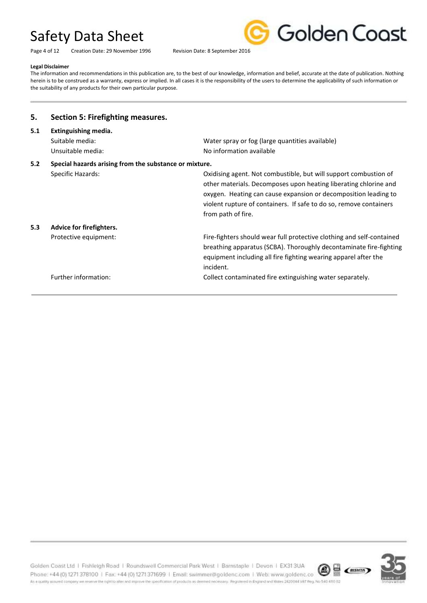Golden Coast

Page 4 of 12 Creation Date: 29 November 1996 Revision Date: 8 September 2016

#### **Legal Disclaimer**

The information and recommendations in this publication are, to the best of our knowledge, information and belief, accurate at the date of publication. Nothing herein is to be construed as a warranty, express or implied. In all cases it is the responsibility of the users to determine the applicability of such information or the suitability of any products for their own particular purpose.

| 5.                                                            | <b>Section 5: Firefighting measures.</b>                     |                                                                                                                                                                                                                                                                                                     |
|---------------------------------------------------------------|--------------------------------------------------------------|-----------------------------------------------------------------------------------------------------------------------------------------------------------------------------------------------------------------------------------------------------------------------------------------------------|
| 5.1                                                           | Extinguishing media.<br>Suitable media:<br>Unsuitable media: | Water spray or fog (large quantities available)<br>No information available                                                                                                                                                                                                                         |
| 5.2<br>Special hazards arising from the substance or mixture. |                                                              |                                                                                                                                                                                                                                                                                                     |
|                                                               | Specific Hazards:                                            | Oxidising agent. Not combustible, but will support combustion of<br>other materials. Decomposes upon heating liberating chlorine and<br>oxygen. Heating can cause expansion or decomposition leading to<br>violent rupture of containers. If safe to do so, remove containers<br>from path of fire. |
| 5.3                                                           | Advice for firefighters.                                     |                                                                                                                                                                                                                                                                                                     |
|                                                               | Protective equipment:                                        | Fire-fighters should wear full protective clothing and self-contained<br>breathing apparatus (SCBA). Thoroughly decontaminate fire-fighting<br>equipment including all fire fighting wearing apparel after the<br>incident.                                                                         |
|                                                               | Further information:                                         | Collect contaminated fire extinguishing water separately.                                                                                                                                                                                                                                           |

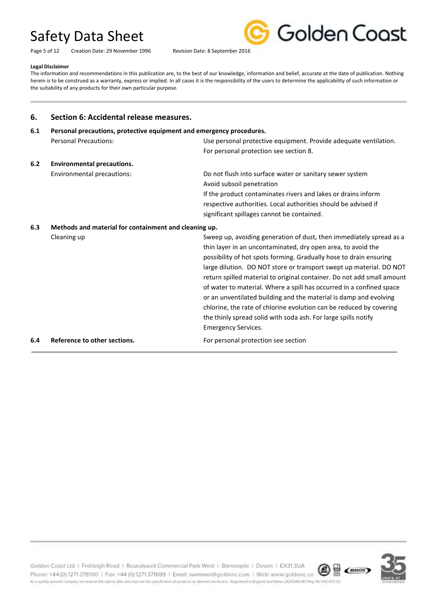Page 5 of 12 Creation Date: 29 November 1996 Revision Date: 8 September 2016



#### **Legal Disclaimer**

The information and recommendations in this publication are, to the best of our knowledge, information and belief, accurate at the date of publication. Nothing herein is to be construed as a warranty, express or implied. In all cases it is the responsibility of the users to determine the applicability of such information or the suitability of any products for their own particular purpose.

#### **6. Section 6: Accidental release measures.**

## **6.1 Personal precautions, protective equipment and emergency procedures.** Personal Precautions: Use personal protective equipment. Provide adequate ventilation. For personal protection see section 8. **6.2 Environmental precautions.** Environmental precautions: Do not flush into surface water or sanitary sewer system Avoid subsoil penetration If the product contaminates rivers and lakes or drains inform respective authorities. Local authorities should be advised if significant spillages cannot be contained. **6.3 Methods and material for containment and cleaning up.** Cleaning up Cleaning up Sweep up, avoiding generation of dust, then immediately spread as a thin layer in an uncontaminated, dry open area, to avoid the possibility of hot spots forming. Gradually hose to drain ensuring large dilution. DO NOT store or transport swept up material. DO NOT return spilled material to original container. Do not add small amount of water to material. Where a spill has occurred in a confined space or an unventilated building and the material is damp and evolving chlorine, the rate of chlorine evolution can be reduced by covering the thinly spread solid with soda ash. For large spills notify Emergency Services. **6.4 Reference to other sections.** For personal protection see section



Golden Coast Ltd | Fishleigh Road | Roundswell Commercial Park West | Barnstaple | Devon | EX313UA Phone: +44 (0) 1271 378100 | Fax: +44 (0) 1271 371699 | Email: swimmer@goldenc.com | Web: www.goldenc.co As a quality assued company we reserve the oght to alter and improve the specification of products as deemed necessary. Registered in England and Wales 2420044 VAT Reg. No 540 410 02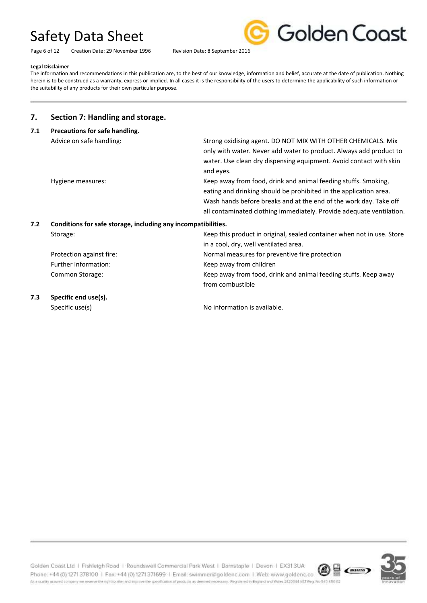Page 6 of 12 Creation Date: 29 November 1996 Revision Date: 8 September 2016



#### **Legal Disclaimer**

The information and recommendations in this publication are, to the best of our knowledge, information and belief, accurate at the date of publication. Nothing herein is to be construed as a warranty, express or implied. In all cases it is the responsibility of the users to determine the applicability of such information or the suitability of any products for their own particular purpose.

### **7. Section 7: Handling and storage.**

| 7.1                                                                  | Precautions for safe handling. |                                                                        |
|----------------------------------------------------------------------|--------------------------------|------------------------------------------------------------------------|
|                                                                      | Advice on safe handling:       | Strong oxidising agent. DO NOT MIX WITH OTHER CHEMICALS. Mix           |
|                                                                      |                                | only with water. Never add water to product. Always add product to     |
|                                                                      |                                | water. Use clean dry dispensing equipment. Avoid contact with skin     |
|                                                                      |                                | and eyes.                                                              |
|                                                                      | Hygiene measures:              | Keep away from food, drink and animal feeding stuffs. Smoking,         |
|                                                                      |                                | eating and drinking should be prohibited in the application area.      |
|                                                                      |                                | Wash hands before breaks and at the end of the work day. Take off      |
|                                                                      |                                | all contaminated clothing immediately. Provide adequate ventilation.   |
| 7.2<br>Conditions for safe storage, including any incompatibilities. |                                |                                                                        |
|                                                                      | Storage:                       | Keep this product in original, sealed container when not in use. Store |
|                                                                      |                                | in a cool, dry, well ventilated area.                                  |
|                                                                      | Protection against fire:       | Normal measures for preventive fire protection                         |
|                                                                      | Further information:           | Keep away from children                                                |
|                                                                      | Common Storage:                | Keep away from food, drink and animal feeding stuffs. Keep away        |
|                                                                      |                                | from combustible                                                       |
| 7.3                                                                  | Specific end use(s).           |                                                                        |
|                                                                      | Specific use(s)                | No information is available.                                           |

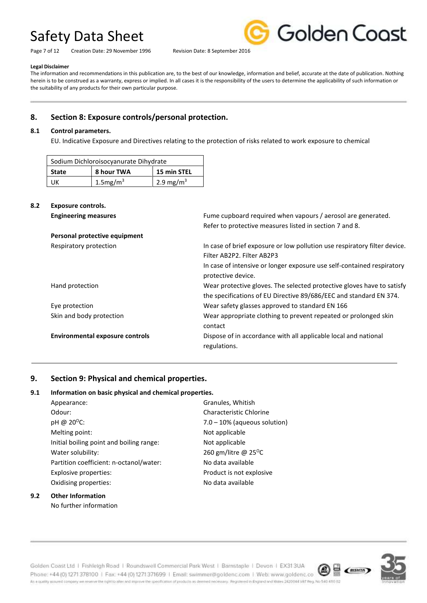Page 7 of 12 Creation Date: 29 November 1996 Revision Date: 8 September 2016



#### **Legal Disclaimer**

The information and recommendations in this publication are, to the best of our knowledge, information and belief, accurate at the date of publication. Nothing herein is to be construed as a warranty, express or implied. In all cases it is the responsibility of the users to determine the applicability of such information or the suitability of any products for their own particular purpose.

### **8. Section 8: Exposure controls/personal protection.**

#### **8.1 Control parameters.**

EU. Indicative Exposure and Directives relating to the protection of risks related to work exposure to chemical

| Sodium Dichloroisocyanurate Dihydrate |                |                       |
|---------------------------------------|----------------|-----------------------|
| 8 hour TWA<br><b>State</b>            |                | 15 min STEL           |
| UК                                    | $1.5$ mg/m $3$ | 2.9 mg/m <sup>3</sup> |

#### **8.2 Exposure controls.**

| <b>Engineering measures</b>            | Fume cupboard required when vapours / aerosol are generated.              |
|----------------------------------------|---------------------------------------------------------------------------|
|                                        | Refer to protective measures listed in section 7 and 8.                   |
| Personal protective equipment          |                                                                           |
| Respiratory protection                 | In case of brief exposure or low pollution use respiratory filter device. |
|                                        | Filter AB2P2. Filter AB2P3                                                |
|                                        | In case of intensive or longer exposure use self-contained respiratory    |
|                                        | protective device.                                                        |
| Hand protection                        | Wear protective gloves. The selected protective gloves have to satisfy    |
|                                        | the specifications of EU Directive 89/686/EEC and standard EN 374.        |
| Eye protection                         | Wear safety glasses approved to standard EN 166                           |
| Skin and body protection               | Wear appropriate clothing to prevent repeated or prolonged skin           |
|                                        | contact                                                                   |
| <b>Environmental exposure controls</b> | Dispose of in accordance with all applicable local and national           |
|                                        | regulations.                                                              |
|                                        |                                                                           |

### **9. Section 9: Physical and chemical properties.**

#### **9.1 Information on basic physical and chemical properties.**

| Appearance:                              | Granules, Whitish               |
|------------------------------------------|---------------------------------|
| Odour:                                   | Characteristic Chlorine         |
| pH @ $20^{\circ}$ C:                     | $7.0 - 10\%$ (aqueous solution) |
| Melting point:                           | Not applicable                  |
| Initial boiling point and boiling range: | Not applicable                  |
| Water solubility:                        | 260 gm/litre @ $25^{\circ}$ C   |
| Partition coefficient: n-octanol/water:  | No data available               |
| Explosive properties:                    | Product is not explosive        |
| Oxidising properties:                    | No data available               |
|                                          |                                 |

#### **9.2 Other Information** No further information

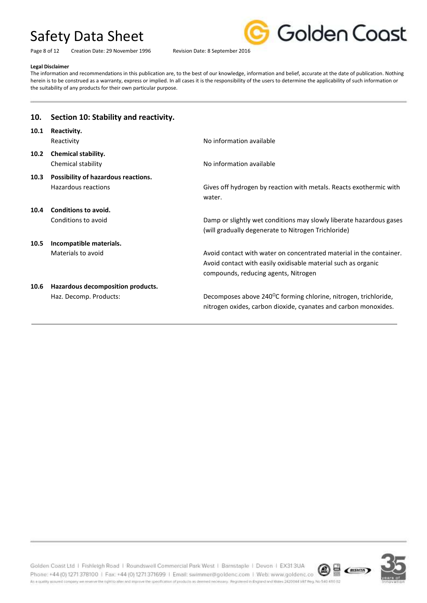Page 8 of 12 Creation Date: 29 November 1996 Revision Date: 8 September 2016



#### **Legal Disclaimer**

The information and recommendations in this publication are, to the best of our knowledge, information and belief, accurate at the date of publication. Nothing herein is to be construed as a warranty, express or implied. In all cases it is the responsibility of the users to determine the applicability of such information or the suitability of any products for their own particular purpose.

| 10.  | Section 10: Stability and reactivity.                       |                                                                                                                                                                              |
|------|-------------------------------------------------------------|------------------------------------------------------------------------------------------------------------------------------------------------------------------------------|
| 10.1 | Reactivity.<br>Reactivity                                   | No information available                                                                                                                                                     |
| 10.2 | <b>Chemical stability.</b><br>Chemical stability            | No information available                                                                                                                                                     |
| 10.3 | Possibility of hazardous reactions.<br>Hazardous reactions  | Gives off hydrogen by reaction with metals. Reacts exothermic with<br>water.                                                                                                 |
| 10.4 | Conditions to avoid.<br>Conditions to avoid                 | Damp or slightly wet conditions may slowly liberate hazardous gases<br>(will gradually degenerate to Nitrogen Trichloride)                                                   |
| 10.5 | Incompatible materials.<br>Materials to avoid               | Avoid contact with water on concentrated material in the container.<br>Avoid contact with easily oxidisable material such as organic<br>compounds, reducing agents, Nitrogen |
| 10.6 | Hazardous decomposition products.<br>Haz. Decomp. Products: | Decomposes above 240°C forming chlorine, nitrogen, trichloride,<br>nitrogen oxides, carbon dioxide, cyanates and carbon monoxides.                                           |

Golden Coast Ltd | Fishleigh Road | Roundswell Commercial Park West | Barnstaple | Devon | EX313UA  $\circledR$   $\circledR$   $\circledR$ Phone: +44 (0) 1271 378100 | Fax: +44 (0) 1271 371699 | Email: swimmer@goldenc.com | Web: www.goldenc.co As a quality assued company we reserve the oght to after and improve the specification of products as deemed necessary. Registered in England and Wales 2420044 VAT Reg. No 540-410 02

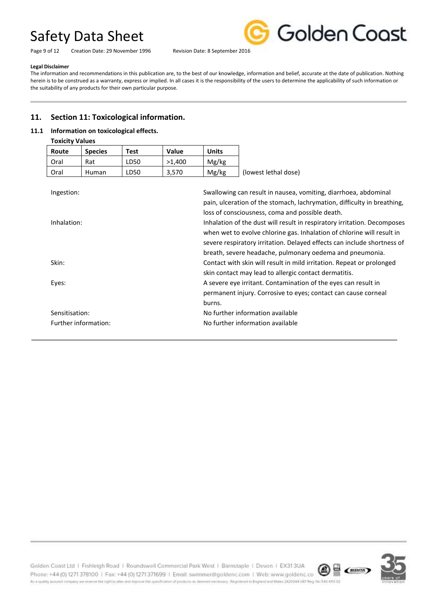Page 9 of 12 Creation Date: 29 November 1996 Revision Date: 8 September 2016



#### **Legal Disclaimer**

The information and recommendations in this publication are, to the best of our knowledge, information and belief, accurate at the date of publication. Nothing herein is to be construed as a warranty, express or implied. In all cases it is the responsibility of the users to determine the applicability of such information or the suitability of any products for their own particular purpose.

### **11. Section 11: Toxicological information.**

#### **11.1 Information on toxicological effects.**

| <b>Toxicity Values</b> |                |      |        |              |                      |
|------------------------|----------------|------|--------|--------------|----------------------|
| Route                  | <b>Species</b> | Test | Value  | <b>Units</b> |                      |
| Oral                   | Rat            | LD50 | >1.400 | Mg/kg        |                      |
| Oral                   | <b>Human</b>   | LD50 | 3,570  | Mg/kg        | (lowest lethal dose) |

| Ingestion:           | Swallowing can result in nausea, vomiting, diarrhoea, abdominal          |
|----------------------|--------------------------------------------------------------------------|
|                      | pain, ulceration of the stomach, lachrymation, difficulty in breathing,  |
|                      | loss of consciousness, coma and possible death.                          |
| Inhalation:          | Inhalation of the dust will result in respiratory irritation. Decomposes |
|                      | when wet to evolve chlorine gas. Inhalation of chlorine will result in   |
|                      | severe respiratory irritation. Delayed effects can include shortness of  |
|                      | breath, severe headache, pulmonary oedema and pneumonia.                 |
| Skin:                | Contact with skin will result in mild irritation. Repeat or prolonged    |
|                      | skin contact may lead to allergic contact dermatitis.                    |
| Eyes:                | A severe eye irritant. Contamination of the eyes can result in           |
|                      | permanent injury. Corrosive to eyes; contact can cause corneal           |
|                      | burns.                                                                   |
| Sensitisation:       | No further information available                                         |
| Further information: | No further information available                                         |
|                      |                                                                          |

Golden Coast Ltd | Fishleigh Road | Roundswell Commercial Park West | Barnstaple | Devon | EX313UA  $\circledR$   $\circledR$   $\circledR$ Phone: +44 (0) 1271 378100 | Fax: +44 (0) 1271 371699 | Email: swimmer@goldenc.com | Web: www.goldenc.co As a quality assued company we reserve the oght to after and improve the specification of products as deemed necessary. Registered in England and Wales 2420044 VAT Reg. No 540-410 02

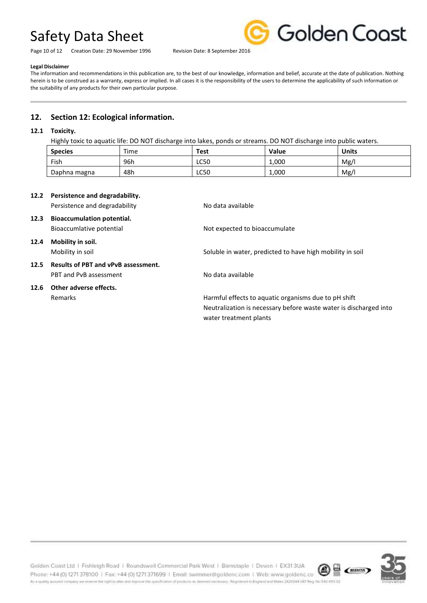Page 10 of 12 Creation Date: 29 November 1996 Revision Date: 8 September 2016



#### **Legal Disclaimer**

The information and recommendations in this publication are, to the best of our knowledge, information and belief, accurate at the date of publication. Nothing herein is to be construed as a warranty, express or implied. In all cases it is the responsibility of the users to determine the applicability of such information or the suitability of any products for their own particular purpose.

## **12. Section 12: Ecological information.**

#### **12.1 Toxicity.**

Highly toxic to aquatic life: DO NOT discharge into lakes, ponds or streams. DO NOT discharge into public waters.

| <b>Species</b> | Time | <b>Test</b> | <b>Value</b> | <b>Units</b> |
|----------------|------|-------------|--------------|--------------|
| Fish           | 96h  | <b>LC50</b> | 1,000        | Mg/          |
| Daphna magna   | 48h  | <b>LC50</b> | 1,000        | Mg/          |

## **12.2 Persistence and degradability.** Persistence and degradability No data available **12.3 Bioaccumulation potential.** Bioaccumlative potential and Not expected to bioaccumulate **12.4 Mobility in soil.** Mobility in soil Soluble in water, predicted to have high mobility in soil **12.5 Results of PBT and vPvB assessment.** PBT and PvB assessment No data available **12.6 Other adverse effects.** Remarks **Harmful effects to aquatic organisms due to pH shift**  $\blacksquare$

Neutralization is necessary before waste water is discharged into water treatment plants



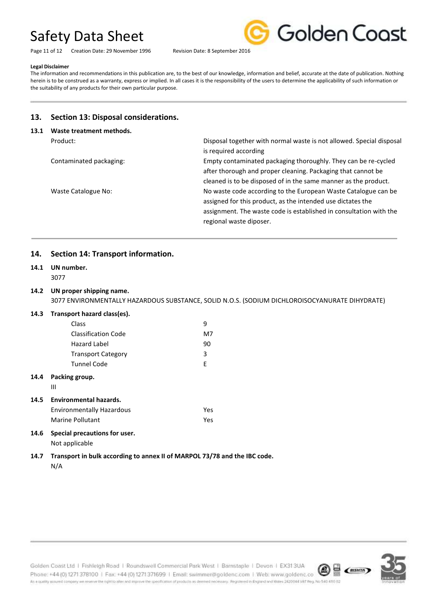Page 11 of 12 Creation Date: 29 November 1996 Revision Date: 8 September 2016



#### **Legal Disclaimer**

The information and recommendations in this publication are, to the best of our knowledge, information and belief, accurate at the date of publication. Nothing herein is to be construed as a warranty, express or implied. In all cases it is the responsibility of the users to determine the applicability of such information or the suitability of any products for their own particular purpose.

### **13. Section 13: Disposal considerations.**

| 13.1 | Waste treatment methods. |                                                                                                                                                                                                                                |  |
|------|--------------------------|--------------------------------------------------------------------------------------------------------------------------------------------------------------------------------------------------------------------------------|--|
|      | Product:                 | Disposal together with normal waste is not allowed. Special disposal<br>is required according                                                                                                                                  |  |
|      | Contaminated packaging:  | Empty contaminated packaging thoroughly. They can be re-cycled<br>after thorough and proper cleaning. Packaging that cannot be<br>cleaned is to be disposed of in the same manner as the product.                              |  |
|      | Waste Catalogue No:      | No waste code according to the European Waste Catalogue can be<br>assigned for this product, as the intended use dictates the<br>assignment. The waste code is established in consultation with the<br>regional waste diposer. |  |

### **14. Section 14: Transport information.**

## **14.1 UN number.**

3077

### **14.2 UN proper shipping name.**

3077 ENVIRONMENTALLY HAZARDOUS SUBSTANCE, SOLID N.O.S. (SODIUM DICHLOROISOCYANURATE DIHYDRATE)

#### **14.3 Transport hazard class(es).**

|      | Class                            | 9   |  |
|------|----------------------------------|-----|--|
|      | <b>Classification Code</b>       | M7  |  |
|      | Hazard Label                     | 90  |  |
|      | <b>Transport Category</b>        | 3   |  |
|      | <b>Tunnel Code</b>               | E   |  |
| 14.4 | Packing group.<br>Ш              |     |  |
| 14.5 | Environmental hazards.           |     |  |
|      | <b>Environmentally Hazardous</b> | Yes |  |
|      | Marine Pollutant                 | Yes |  |
|      | .                                |     |  |

#### **14.6 Special precautions for user.** Not applicable

**14.7 Transport in bulk according to annex II of MARPOL 73/78 and the IBC code.** N/A



Golden Coast Ltd | Fishleigh Road | Roundswell Commercial Park West | Barnstaple | Devon | EX313UA Phone: +44 (0) 1271 378100 | Fax: +44 (0) 1271 371699 | Email: swimmer@goldenc.com | Web: www.goldenc.co As a quality assued company we reserve the oght to alter and improve the specification of products as deemed necessary. Registered in England and Wales 2420044 VAT Reg. No 540-410 02